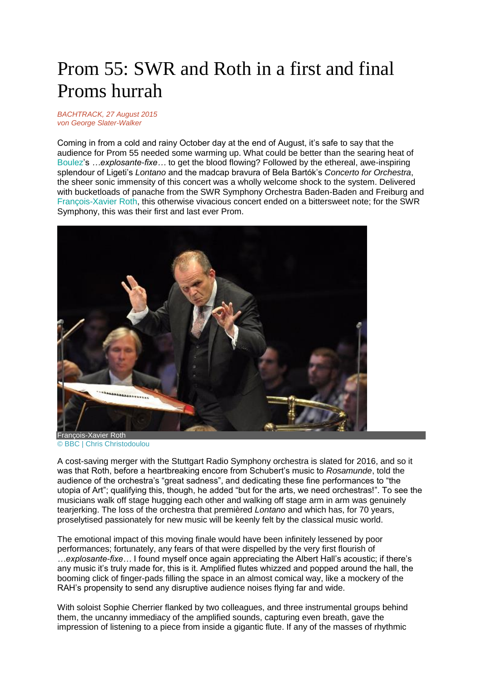## Prom 55: SWR and Roth in a first and final Proms hurrah

## *BACHTRACK, 27 August 2015 von [George Slater-Walker](https://bachtrack.com/de_DE/22/270/list-published/5662)*

Coming in from a cold and rainy October day at the end of August, it's safe to say that the audience for Prom 55 needed some warming up. What could be better than the searing heat of [Boulez'](https://bachtrack.com/composer/boulez)s *…explosante-fixe…* to get the blood flowing? Followed by the ethereal, awe-inspiring splendour of Ligeti's *Lontano* and the madcap bravura of Bela Bartók's *Concerto for Orchestra*, the sheer sonic immensity of this concert was a wholly welcome shock to the system. Delivered with bucketloads of panache from the SWR Symphony Orchestra Baden-Baden and Freiburg and [François-Xavier Roth,](https://bachtrack.com/performer/francois-xavier-roth) this otherwise vivacious concert ended on a bittersweet note; for the SWR Symphony, this was their first and last ever Prom.



François-Xavier Roth © BBC | Chris Christodoulou

A cost-saving merger with the Stuttgart Radio Symphony orchestra is slated for 2016, and so it was that Roth, before a heartbreaking encore from Schubert's music to *Rosamunde*, told the audience of the orchestra's "great sadness", and dedicating these fine performances to "the utopia of Art"; qualifying this, though, he added "but for the arts, we need orchestras!". To see the musicians walk off stage hugging each other and walking off stage arm in arm was genuinely tearjerking. The loss of the orchestra that premièred *Lontano* and which has, for 70 years, proselytised passionately for new music will be keenly felt by the classical music world.

The emotional impact of this moving finale would have been infinitely lessened by poor performances; fortunately, any fears of that were dispelled by the very first flourish of *…explosante-fixe…* I found myself once again appreciating the Albert Hall's acoustic; if there's any music it's truly made for, this is it. Amplified flutes whizzed and popped around the hall, the booming click of finger-pads filling the space in an almost comical way, like a mockery of the RAH's propensity to send any disruptive audience noises flying far and wide.

With soloist Sophie Cherrier flanked by two colleagues, and three instrumental groups behind them, the uncanny immediacy of the amplified sounds, capturing even breath, gave the impression of listening to a piece from inside a gigantic flute. If any of the masses of rhythmic